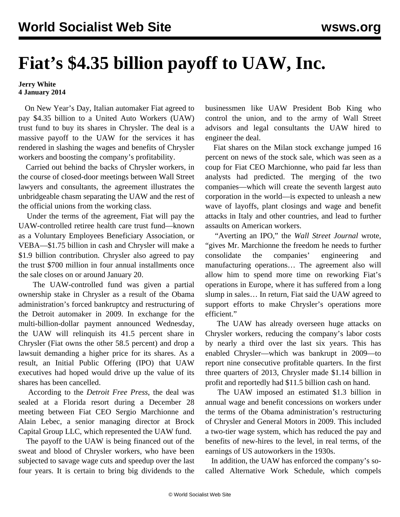## **Fiat's \$4.35 billion payoff to UAW, Inc.**

## **Jerry White 4 January 2014**

 On New Year's Day, Italian automaker Fiat agreed to pay \$4.35 billion to a United Auto Workers (UAW) trust fund to buy its shares in Chrysler. The deal is a massive payoff to the UAW for the services it has rendered in slashing the wages and benefits of Chrysler workers and boosting the company's profitability.

 Carried out behind the backs of Chrysler workers, in the course of closed-door meetings between Wall Street lawyers and consultants, the agreement illustrates the unbridgeable chasm separating the UAW and the rest of the official unions from the working class.

 Under the terms of the agreement, Fiat will pay the UAW-controlled retiree health care trust fund—known as a Voluntary Employees Beneficiary Association, or VEBA—\$1.75 billion in cash and Chrysler will make a \$1.9 billion contribution. Chrysler also agreed to pay the trust \$700 million in four annual installments once the sale closes on or around January 20.

 The UAW-controlled fund was given a partial ownership stake in Chrysler as a result of the Obama administration's forced bankruptcy and restructuring of the Detroit automaker in 2009. In exchange for the multi-billion-dollar payment announced Wednesday, the UAW will relinquish its 41.5 percent share in Chrysler (Fiat owns the other 58.5 percent) and drop a lawsuit demanding a higher price for its shares. As a result, an Initial Public Offering (IPO) that UAW executives had hoped would drive up the value of its shares has been cancelled.

 According to the *Detroit Free Press*, the deal was sealed at a Florida resort during a December 28 meeting between Fiat CEO Sergio Marchionne and Alain Lebec, a senior managing director at Brock Capital Group LLC, which represented the UAW fund.

 The payoff to the UAW is being financed out of the sweat and blood of Chrysler workers, who have been subjected to savage wage cuts and speedup over the last four years. It is certain to bring big dividends to the businessmen like UAW President Bob King who control the union, and to the army of Wall Street advisors and legal consultants the UAW hired to engineer the deal.

 Fiat shares on the Milan stock exchange jumped 16 percent on news of the stock sale, which was seen as a coup for Fiat CEO Marchionne, who paid far less than analysts had predicted. The merging of the two companies—which will create the seventh largest auto corporation in the world—is expected to unleash a new wave of layoffs, plant closings and wage and benefit attacks in Italy and other countries, and lead to further assaults on American workers.

 "Averting an IPO," the *Wall Street Journal* wrote, "gives Mr. Marchionne the freedom he needs to further consolidate the companies' engineering and manufacturing operations… The agreement also will allow him to spend more time on reworking Fiat's operations in Europe, where it has suffered from a long slump in sales… In return, Fiat said the UAW agreed to support efforts to make Chrysler's operations more efficient."

 The UAW has already overseen huge attacks on Chrysler workers, reducing the company's labor costs by nearly a third over the last six years. This has enabled Chrysler—which was bankrupt in 2009—to report nine consecutive profitable quarters. In the first three quarters of 2013, Chrysler made \$1.14 billion in profit and reportedly had \$11.5 billion cash on hand.

 The UAW imposed an estimated \$1.3 billion in annual wage and benefit concessions on workers under the terms of the Obama administration's restructuring of Chrysler and General Motors in 2009. This included a two-tier wage system, which has reduced the pay and benefits of new-hires to the level, in real terms, of the earnings of US autoworkers in the 1930s.

 In addition, the UAW has enforced the company's socalled Alternative Work Schedule, which compels